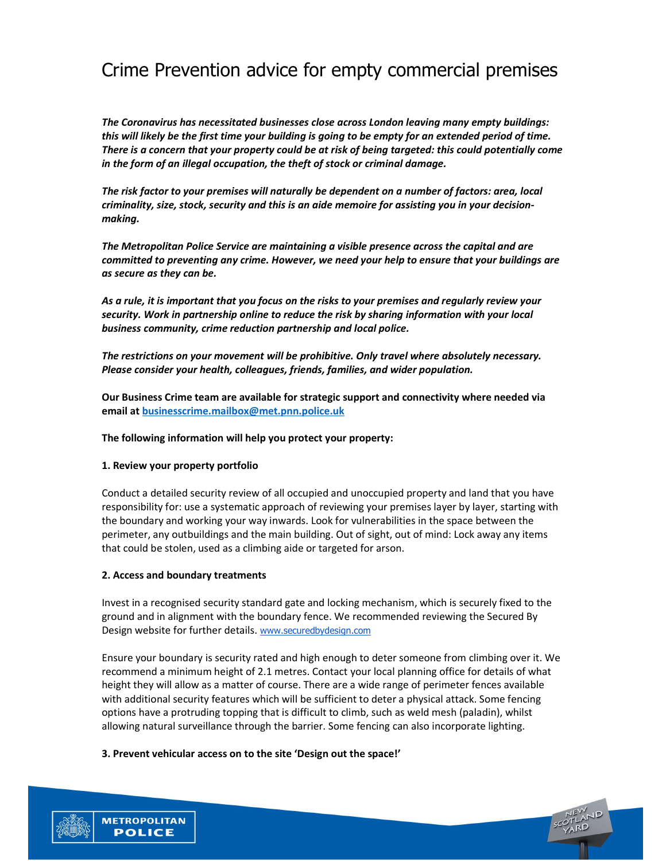# Crime Prevention advice for empty commercial premises

The Coronavirus has necessitated businesses close across London leaving many empty buildings: this will likely be the first time your building is going to be empty for an extended period of time. There is a concern that your property could be at risk of being targeted: this could potentially come in the form of an illegal occupation, the theft of stock or criminal damage.

The risk factor to your premises will naturally be dependent on a number of factors: area, local criminality, size, stock, security and this is an aide memoire for assisting you in your decisionmaking.

The Metropolitan Police Service are maintaining a visible presence across the capital and are committed to preventing any crime. However, we need your help to ensure that your buildings are as secure as they can be.

As a rule, it is important that you focus on the risks to your premises and regularly review your security. Work in partnership online to reduce the risk by sharing information with your local business community, crime reduction partnership and local police.

The restrictions on your movement will be prohibitive. Only travel where absolutely necessary. Please consider your health, colleagues, friends, families, and wider population.

Our Business Crime team are available for strategic support and connectivity where needed via email at businesscrime.mailbox@met.pnn.police.uk

The following information will help you protect your property:

## 1. Review your property portfolio

Conduct a detailed security review of all occupied and unoccupied property and land that you have responsibility for: use a systematic approach of reviewing your premises layer by layer, starting with the boundary and working your way inwards. Look for vulnerabilities in the space between the perimeter, any outbuildings and the main building. Out of sight, out of mind: Lock away any items that could be stolen, used as a climbing aide or targeted for arson.

## 2. Access and boundary treatments

**METROPOLITAN POLICE** 

Invest in a recognised security standard gate and locking mechanism, which is securely fixed to the ground and in alignment with the boundary fence. We recommended reviewing the Secured By Design website for further details. www.securedbydesign.com

Ensure your boundary is security rated and high enough to deter someone from climbing over it. We recommend a minimum height of 2.1 metres. Contact your local planning office for details of what height they will allow as a matter of course. There are a wide range of perimeter fences available with additional security features which will be sufficient to deter a physical attack. Some fencing options have a protruding topping that is difficult to climb, such as weld mesh (paladin), whilst allowing natural surveillance through the barrier. Some fencing can also incorporate lighting.

#### 3. Prevent vehicular access on to the site 'Design out the space!'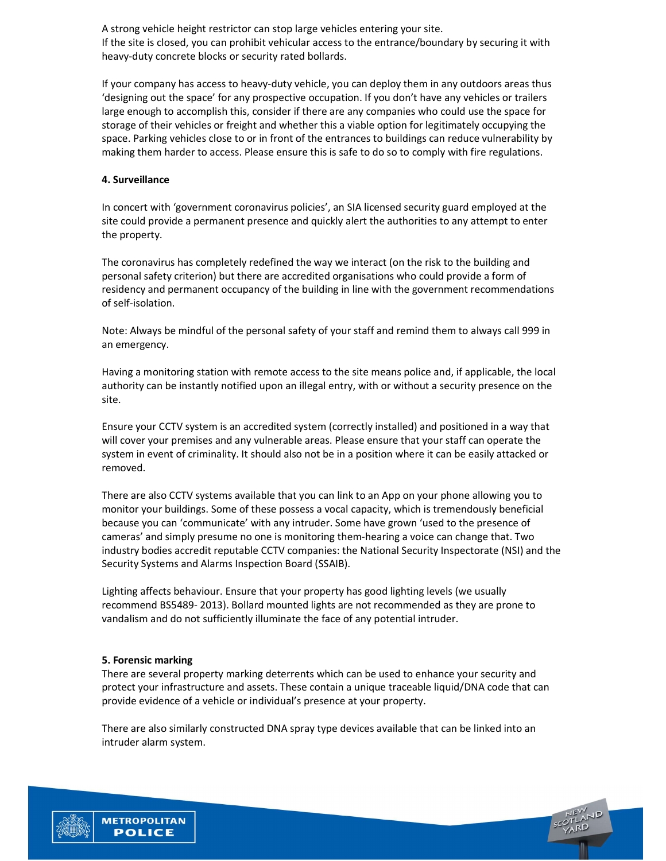A strong vehicle height restrictor can stop large vehicles entering your site. If the site is closed, you can prohibit vehicular access to the entrance/boundary by securing it with heavy-duty concrete blocks or security rated bollards.

If your company has access to heavy-duty vehicle, you can deploy them in any outdoors areas thus 'designing out the space' for any prospective occupation. If you don't have any vehicles or trailers large enough to accomplish this, consider if there are any companies who could use the space for storage of their vehicles or freight and whether this a viable option for legitimately occupying the space. Parking vehicles close to or in front of the entrances to buildings can reduce vulnerability by making them harder to access. Please ensure this is safe to do so to comply with fire regulations.

# 4. Surveillance

In concert with 'government coronavirus policies', an SIA licensed security guard employed at the site could provide a permanent presence and quickly alert the authorities to any attempt to enter the property.

The coronavirus has completely redefined the way we interact (on the risk to the building and personal safety criterion) but there are accredited organisations who could provide a form of residency and permanent occupancy of the building in line with the government recommendations of self-isolation.

Note: Always be mindful of the personal safety of your staff and remind them to always call 999 in an emergency.

Having a monitoring station with remote access to the site means police and, if applicable, the local authority can be instantly notified upon an illegal entry, with or without a security presence on the site.

Ensure your CCTV system is an accredited system (correctly installed) and positioned in a way that will cover your premises and any vulnerable areas. Please ensure that your staff can operate the system in event of criminality. It should also not be in a position where it can be easily attacked or removed.

There are also CCTV systems available that you can link to an App on your phone allowing you to monitor your buildings. Some of these possess a vocal capacity, which is tremendously beneficial because you can 'communicate' with any intruder. Some have grown 'used to the presence of cameras' and simply presume no one is monitoring them-hearing a voice can change that. Two industry bodies accredit reputable CCTV companies: the National Security Inspectorate (NSI) and the Security Systems and Alarms Inspection Board (SSAIB).

Lighting affects behaviour. Ensure that your property has good lighting levels (we usually recommend BS5489- 2013). Bollard mounted lights are not recommended as they are prone to vandalism and do not sufficiently illuminate the face of any potential intruder.

## 5. Forensic marking

There are several property marking deterrents which can be used to enhance your security and protect your infrastructure and assets. These contain a unique traceable liquid/DNA code that can provide evidence of a vehicle or individual's presence at your property.

There are also similarly constructed DNA spray type devices available that can be linked into an intruder alarm system.